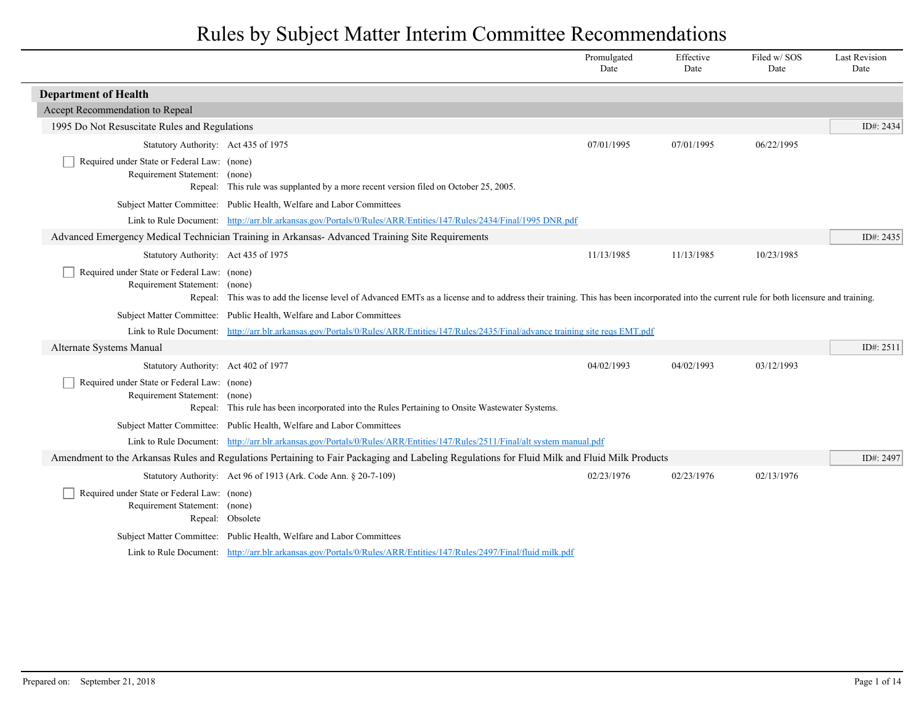|                                                                              |                                                                                                                                                                                          | Promulgated<br>Date | Effective<br>Date | Filed w/SOS<br>Date | <b>Last Revision</b><br>Date |
|------------------------------------------------------------------------------|------------------------------------------------------------------------------------------------------------------------------------------------------------------------------------------|---------------------|-------------------|---------------------|------------------------------|
| <b>Department of Health</b>                                                  |                                                                                                                                                                                          |                     |                   |                     |                              |
| Accept Recommendation to Repeal                                              |                                                                                                                                                                                          |                     |                   |                     |                              |
| 1995 Do Not Resuscitate Rules and Regulations                                |                                                                                                                                                                                          |                     |                   |                     | ID#: 2434                    |
| Statutory Authority: Act 435 of 1975                                         |                                                                                                                                                                                          | 07/01/1995          | 07/01/1995        | 06/22/1995          |                              |
| Required under State or Federal Law: (none)<br>Requirement Statement: (none) | Repeal: This rule was supplanted by a more recent version filed on October 25, 2005.                                                                                                     |                     |                   |                     |                              |
|                                                                              | Subject Matter Committee: Public Health, Welfare and Labor Committees                                                                                                                    |                     |                   |                     |                              |
|                                                                              | Link to Rule Document: http://arr.blr.arkansas.gov/Portals/0/Rules/ARR/Entities/147/Rules/2434/Final/1995 DNR.pdf                                                                        |                     |                   |                     |                              |
|                                                                              | Advanced Emergency Medical Technician Training in Arkansas-Advanced Training Site Requirements                                                                                           |                     |                   |                     | ID#: 2435                    |
| Statutory Authority: Act 435 of 1975                                         |                                                                                                                                                                                          | 11/13/1985          | 11/13/1985        | 10/23/1985          |                              |
| Required under State or Federal Law: (none)<br>Requirement Statement: (none) | Repeal: This was to add the license level of Advanced EMTs as a license and to address their training. This has been incorporated into the current rule for both licensure and training. |                     |                   |                     |                              |
|                                                                              | Subject Matter Committee: Public Health, Welfare and Labor Committees                                                                                                                    |                     |                   |                     |                              |
|                                                                              | Link to Rule Document: http://arr.blr.arkansas.gov/Portals/0/Rules/ARR/Entities/147/Rules/2435/Final/advance training site regs EMT.pdf                                                  |                     |                   |                     |                              |
| Alternate Systems Manual                                                     |                                                                                                                                                                                          |                     |                   |                     | ID#: 2511                    |
| Statutory Authority: Act 402 of 1977                                         |                                                                                                                                                                                          | 04/02/1993          | 04/02/1993        | 03/12/1993          |                              |
| Required under State or Federal Law: (none)<br>Requirement Statement: (none) | Repeal: This rule has been incorporated into the Rules Pertaining to Onsite Wastewater Systems.                                                                                          |                     |                   |                     |                              |
|                                                                              | Subject Matter Committee: Public Health, Welfare and Labor Committees                                                                                                                    |                     |                   |                     |                              |
|                                                                              | Link to Rule Document: http://arr.blr.arkansas.gov/Portals/0/Rules/ARR/Entities/147/Rules/2511/Final/alt system manual.pdf                                                               |                     |                   |                     |                              |
|                                                                              | Amendment to the Arkansas Rules and Regulations Pertaining to Fair Packaging and Labeling Regulations for Fluid Milk and Fluid Milk Products                                             |                     |                   |                     | ID#: 2497                    |
|                                                                              | Statutory Authority: Act 96 of 1913 (Ark. Code Ann. § 20-7-109)                                                                                                                          | 02/23/1976          | 02/23/1976        | 02/13/1976          |                              |
| Required under State or Federal Law: (none)<br>Requirement Statement: (none) | Repeal: Obsolete                                                                                                                                                                         |                     |                   |                     |                              |
|                                                                              | Subject Matter Committee: Public Health, Welfare and Labor Committees                                                                                                                    |                     |                   |                     |                              |
|                                                                              | Link to Rule Document: http://arr.blr.arkansas.gov/Portals/0/Rules/ARR/Entities/147/Rules/2497/Final/fluid milk.pdf                                                                      |                     |                   |                     |                              |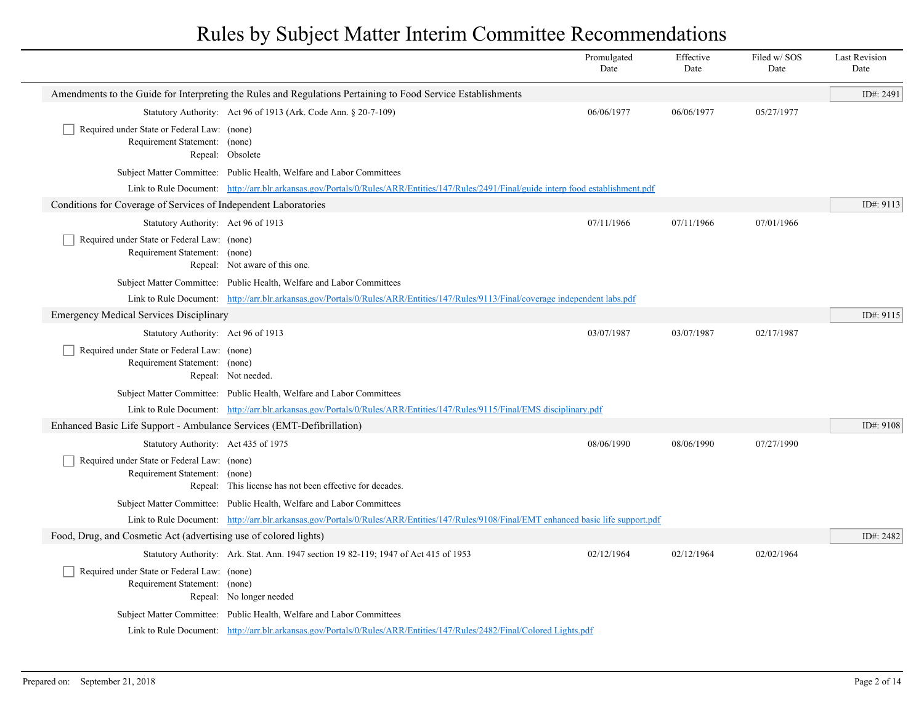|  |                                                                              |                                                                                                                                          | Promulgated<br>Date | Effective<br>Date | Filed w/SOS<br>Date | <b>Last Revision</b><br>Date |
|--|------------------------------------------------------------------------------|------------------------------------------------------------------------------------------------------------------------------------------|---------------------|-------------------|---------------------|------------------------------|
|  |                                                                              | Amendments to the Guide for Interpreting the Rules and Regulations Pertaining to Food Service Establishments                             |                     |                   |                     | ID#: 2491                    |
|  |                                                                              | Statutory Authority: Act 96 of 1913 (Ark. Code Ann. § 20-7-109)                                                                          | 06/06/1977          | 06/06/1977        | 05/27/1977          |                              |
|  | Required under State or Federal Law: (none)<br>Requirement Statement: (none) | Repeal: Obsolete                                                                                                                         |                     |                   |                     |                              |
|  |                                                                              | Subject Matter Committee: Public Health, Welfare and Labor Committees                                                                    |                     |                   |                     |                              |
|  |                                                                              | Link to Rule Document: http://arr.blr.arkansas.gov/Portals/0/Rules/ARR/Entities/147/Rules/2491/Final/guide interp food establishment.pdf |                     |                   |                     |                              |
|  | Conditions for Coverage of Services of Independent Laboratories              |                                                                                                                                          |                     |                   |                     | ID#: 9113                    |
|  | Statutory Authority: Act 96 of 1913                                          |                                                                                                                                          | 07/11/1966          | 07/11/1966        | 07/01/1966          |                              |
|  | Required under State or Federal Law: (none)<br>Requirement Statement: (none) | Repeal: Not aware of this one.                                                                                                           |                     |                   |                     |                              |
|  |                                                                              | Subject Matter Committee: Public Health, Welfare and Labor Committees                                                                    |                     |                   |                     |                              |
|  |                                                                              | Link to Rule Document: http://arr.blr.arkansas.gov/Portals/0/Rules/ARR/Entities/147/Rules/9113/Final/coverage independent labs.pdf       |                     |                   |                     |                              |
|  | <b>Emergency Medical Services Disciplinary</b>                               |                                                                                                                                          |                     |                   |                     | ID#: 9115                    |
|  | Statutory Authority: Act 96 of 1913                                          |                                                                                                                                          | 03/07/1987          | 03/07/1987        | 02/17/1987          |                              |
|  | Required under State or Federal Law: (none)<br>Requirement Statement: (none) | Repeal: Not needed.                                                                                                                      |                     |                   |                     |                              |
|  |                                                                              | Subject Matter Committee: Public Health, Welfare and Labor Committees                                                                    |                     |                   |                     |                              |
|  |                                                                              | Link to Rule Document: http://arr.blr.arkansas.gov/Portals/0/Rules/ARR/Entities/147/Rules/9115/Final/EMS disciplinary.pdf                |                     |                   |                     |                              |
|  | Enhanced Basic Life Support - Ambulance Services (EMT-Defibrillation)        |                                                                                                                                          |                     |                   |                     | ID#: 9108                    |
|  | Statutory Authority: Act 435 of 1975                                         |                                                                                                                                          | 08/06/1990          | 08/06/1990        | 07/27/1990          |                              |
|  | Required under State or Federal Law: (none)<br>Requirement Statement: (none) | Repeal: This license has not been effective for decades.                                                                                 |                     |                   |                     |                              |
|  |                                                                              | Subject Matter Committee: Public Health, Welfare and Labor Committees                                                                    |                     |                   |                     |                              |
|  |                                                                              | Link to Rule Document: http://arr.blr.arkansas.gov/Portals/0/Rules/ARR/Entities/147/Rules/9108/Final/EMT enhanced basic life support.pdf |                     |                   |                     |                              |
|  | Food, Drug, and Cosmetic Act (advertising use of colored lights)             |                                                                                                                                          |                     |                   |                     | ID#: 2482                    |
|  |                                                                              | Statutory Authority: Ark. Stat. Ann. 1947 section 19 82-119; 1947 of Act 415 of 1953                                                     | 02/12/1964          | 02/12/1964        | 02/02/1964          |                              |
|  | Required under State or Federal Law: (none)<br>Requirement Statement: (none) | Repeal: No longer needed                                                                                                                 |                     |                   |                     |                              |
|  |                                                                              | Subject Matter Committee: Public Health, Welfare and Labor Committees                                                                    |                     |                   |                     |                              |
|  |                                                                              | Link to Rule Document: http://arr.blr.arkansas.gov/Portals/0/Rules/ARR/Entities/147/Rules/2482/Final/Colored Lights.pdf                  |                     |                   |                     |                              |
|  |                                                                              |                                                                                                                                          |                     |                   |                     |                              |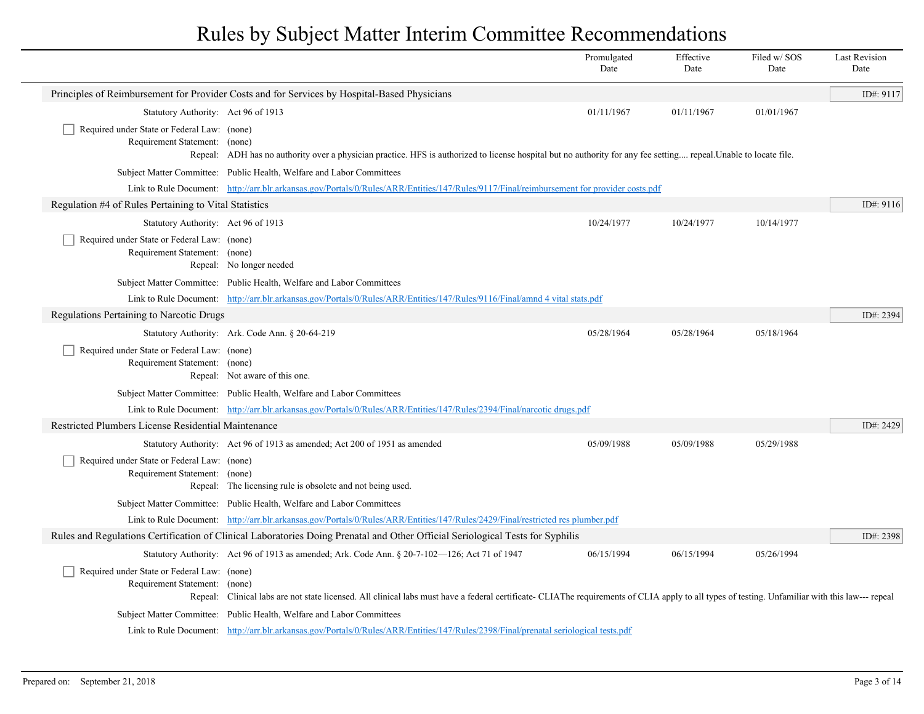|                                                                              |                                                                                                                                                                                                 | Promulgated<br>Date | Effective<br>Date | Filed w/SOS<br>Date | <b>Last Revision</b><br>Date |
|------------------------------------------------------------------------------|-------------------------------------------------------------------------------------------------------------------------------------------------------------------------------------------------|---------------------|-------------------|---------------------|------------------------------|
|                                                                              | Principles of Reimbursement for Provider Costs and for Services by Hospital-Based Physicians                                                                                                    |                     |                   |                     | ID#: 9117                    |
| Statutory Authority: Act 96 of 1913                                          |                                                                                                                                                                                                 | 01/11/1967          | 01/11/1967        | 01/01/1967          |                              |
| Required under State or Federal Law: (none)<br>Requirement Statement: (none) | Repeal: ADH has no authority over a physician practice. HFS is authorized to license hospital but no authority for any fee setting repeal. Unable to locate file.                               |                     |                   |                     |                              |
|                                                                              | Subject Matter Committee: Public Health, Welfare and Labor Committees                                                                                                                           |                     |                   |                     |                              |
|                                                                              | Link to Rule Document: http://arr.blr.arkansas.gov/Portals/0/Rules/ARR/Entities/147/Rules/9117/Final/reimbursement for provider costs.pdf                                                       |                     |                   |                     |                              |
| Regulation #4 of Rules Pertaining to Vital Statistics                        |                                                                                                                                                                                                 |                     |                   |                     | ID#: 9116                    |
| Statutory Authority: Act 96 of 1913                                          |                                                                                                                                                                                                 | 10/24/1977          | 10/24/1977        | 10/14/1977          |                              |
| Required under State or Federal Law: (none)<br>Requirement Statement: (none) | Repeal: No longer needed                                                                                                                                                                        |                     |                   |                     |                              |
|                                                                              | Subject Matter Committee: Public Health, Welfare and Labor Committees                                                                                                                           |                     |                   |                     |                              |
|                                                                              | Link to Rule Document: http://arr.blr.arkansas.gov/Portals/0/Rules/ARR/Entities/147/Rules/9116/Final/amnd 4 vital stats.pdf                                                                     |                     |                   |                     |                              |
| Regulations Pertaining to Narcotic Drugs                                     |                                                                                                                                                                                                 |                     |                   |                     | ID#: 2394                    |
|                                                                              | Statutory Authority: Ark. Code Ann. § 20-64-219                                                                                                                                                 | 05/28/1964          | 05/28/1964        | 05/18/1964          |                              |
| Required under State or Federal Law: (none)<br>Requirement Statement: (none) | Repeal: Not aware of this one.                                                                                                                                                                  |                     |                   |                     |                              |
|                                                                              | Subject Matter Committee: Public Health, Welfare and Labor Committees                                                                                                                           |                     |                   |                     |                              |
|                                                                              | Link to Rule Document: http://arr.blr.arkansas.gov/Portals/0/Rules/ARR/Entities/147/Rules/2394/Final/narcotic drugs.pdf                                                                         |                     |                   |                     |                              |
| Restricted Plumbers License Residential Maintenance                          |                                                                                                                                                                                                 |                     |                   |                     | ID#: 2429                    |
|                                                                              | Statutory Authority: Act 96 of 1913 as amended; Act 200 of 1951 as amended                                                                                                                      | 05/09/1988          | 05/09/1988        | 05/29/1988          |                              |
| Required under State or Federal Law: (none)<br>Requirement Statement:        | (none)<br>Repeal: The licensing rule is obsolete and not being used.                                                                                                                            |                     |                   |                     |                              |
|                                                                              | Subject Matter Committee: Public Health, Welfare and Labor Committees                                                                                                                           |                     |                   |                     |                              |
|                                                                              | Link to Rule Document: http://arr.blr.arkansas.gov/Portals/0/Rules/ARR/Entities/147/Rules/2429/Final/restricted res plumber.pdf                                                                 |                     |                   |                     |                              |
|                                                                              | Rules and Regulations Certification of Clinical Laboratories Doing Prenatal and Other Official Seriological Tests for Syphilis                                                                  |                     |                   |                     | ID#: 2398                    |
|                                                                              | Statutory Authority: Act 96 of 1913 as amended; Ark. Code Ann. § 20-7-102—126; Act 71 of 1947                                                                                                   | 06/15/1994          | 06/15/1994        | 05/26/1994          |                              |
| Required under State or Federal Law: (none)<br>Requirement Statement: (none) | Repeal: Clinical labs are not state licensed. All clinical labs must have a federal certificate- CLIAThe requirements of CLIA apply to all types of testing. Unfamiliar with this law--- repeal |                     |                   |                     |                              |
|                                                                              | Subject Matter Committee: Public Health, Welfare and Labor Committees                                                                                                                           |                     |                   |                     |                              |
|                                                                              | Link to Rule Document: http://arr.blr.arkansas.gov/Portals/0/Rules/ARR/Entities/147/Rules/2398/Final/prenatal seriological tests.pdf                                                            |                     |                   |                     |                              |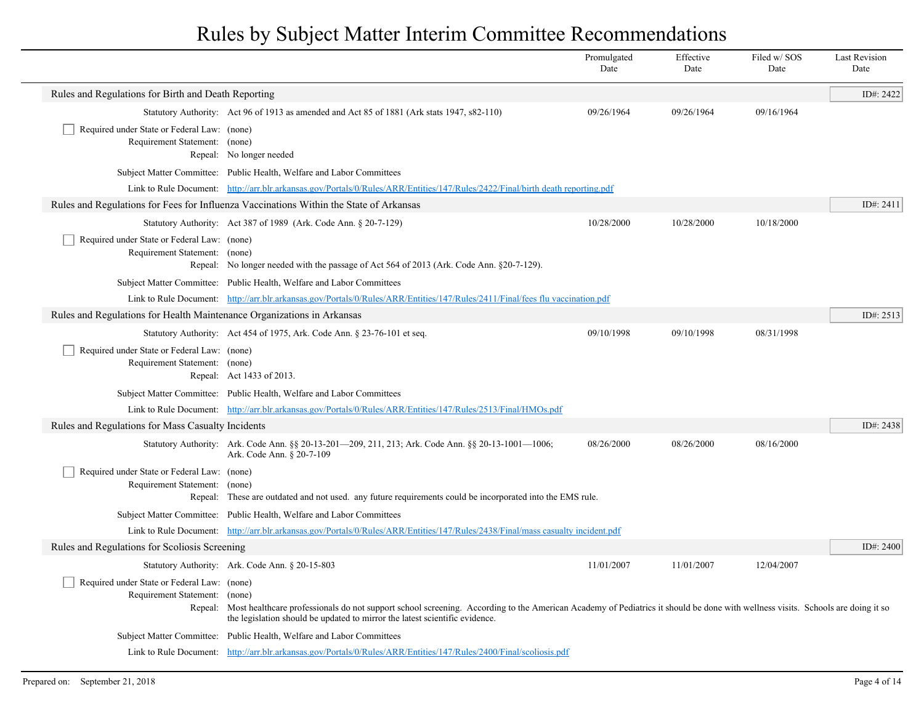|                                                                              |                                                                                                                                                                                                                                                                       | Promulgated<br>Date | Effective<br>Date | Filed w/ SOS<br>Date | <b>Last Revision</b><br>Date |
|------------------------------------------------------------------------------|-----------------------------------------------------------------------------------------------------------------------------------------------------------------------------------------------------------------------------------------------------------------------|---------------------|-------------------|----------------------|------------------------------|
| Rules and Regulations for Birth and Death Reporting                          |                                                                                                                                                                                                                                                                       |                     |                   |                      | ID#: 2422                    |
|                                                                              | Statutory Authority: Act 96 of 1913 as amended and Act 85 of 1881 (Ark stats 1947, s82-110)                                                                                                                                                                           | 09/26/1964          | 09/26/1964        | 09/16/1964           |                              |
| Required under State or Federal Law: (none)<br>Requirement Statement: (none) | Repeal: No longer needed                                                                                                                                                                                                                                              |                     |                   |                      |                              |
|                                                                              | Subject Matter Committee: Public Health, Welfare and Labor Committees                                                                                                                                                                                                 |                     |                   |                      |                              |
|                                                                              | Link to Rule Document: http://arr.blr.arkansas.gov/Portals/0/Rules/ARR/Entities/147/Rules/2422/Final/birth death reporting.pdf                                                                                                                                        |                     |                   |                      |                              |
|                                                                              | Rules and Regulations for Fees for Influenza Vaccinations Within the State of Arkansas                                                                                                                                                                                |                     |                   |                      | ID#: 2411                    |
|                                                                              | Statutory Authority: Act 387 of 1989 (Ark. Code Ann. § 20-7-129)                                                                                                                                                                                                      | 10/28/2000          | 10/28/2000        | 10/18/2000           |                              |
| Required under State or Federal Law: (none)<br>Requirement Statement: (none) | Repeal: No longer needed with the passage of Act 564 of 2013 (Ark. Code Ann. §20-7-129).                                                                                                                                                                              |                     |                   |                      |                              |
|                                                                              | Subject Matter Committee: Public Health, Welfare and Labor Committees                                                                                                                                                                                                 |                     |                   |                      |                              |
|                                                                              | Link to Rule Document: http://arr.blr.arkansas.gov/Portals/0/Rules/ARR/Entities/147/Rules/2411/Final/fees flu vaccination.pdf                                                                                                                                         |                     |                   |                      |                              |
| Rules and Regulations for Health Maintenance Organizations in Arkansas       |                                                                                                                                                                                                                                                                       |                     |                   |                      | ID#: 2513                    |
|                                                                              | Statutory Authority: Act 454 of 1975, Ark. Code Ann. § 23-76-101 et seq.                                                                                                                                                                                              | 09/10/1998          | 09/10/1998        | 08/31/1998           |                              |
| Required under State or Federal Law: (none)<br>Requirement Statement: (none) | Repeal: Act 1433 of 2013.                                                                                                                                                                                                                                             |                     |                   |                      |                              |
|                                                                              | Subject Matter Committee: Public Health, Welfare and Labor Committees                                                                                                                                                                                                 |                     |                   |                      |                              |
|                                                                              | Link to Rule Document: http://arr.blr.arkansas.gov/Portals/0/Rules/ARR/Entities/147/Rules/2513/Final/HMOs.pdf                                                                                                                                                         |                     |                   |                      |                              |
| Rules and Regulations for Mass Casualty Incidents                            |                                                                                                                                                                                                                                                                       |                     |                   |                      | ID#: 2438                    |
|                                                                              | Statutory Authority: Ark. Code Ann. §§ 20-13-201—209, 211, 213; Ark. Code Ann. §§ 20-13-1001—1006;<br>Ark. Code Ann. § 20-7-109                                                                                                                                       | 08/26/2000          | 08/26/2000        | 08/16/2000           |                              |
| Required under State or Federal Law: (none)<br>Requirement Statement: (none) | Repeal: These are outdated and not used. any future requirements could be incorporated into the EMS rule.                                                                                                                                                             |                     |                   |                      |                              |
|                                                                              | Subject Matter Committee: Public Health, Welfare and Labor Committees                                                                                                                                                                                                 |                     |                   |                      |                              |
|                                                                              | Link to Rule Document: http://arr.blr.arkansas.gov/Portals/0/Rules/ARR/Entities/147/Rules/2438/Final/mass casualty incident.pdf                                                                                                                                       |                     |                   |                      |                              |
| Rules and Regulations for Scoliosis Screening                                |                                                                                                                                                                                                                                                                       |                     |                   |                      | ID#: 2400                    |
|                                                                              | Statutory Authority: Ark. Code Ann. § 20-15-803                                                                                                                                                                                                                       | 11/01/2007          | 11/01/2007        | 12/04/2007           |                              |
| Required under State or Federal Law: (none)<br>Requirement Statement: (none) | Repeal: Most healthcare professionals do not support school screening. According to the American Academy of Pediatrics it should be done with wellness visits. Schools are doing it so<br>the legislation should be updated to mirror the latest scientific evidence. |                     |                   |                      |                              |
|                                                                              | Subject Matter Committee: Public Health, Welfare and Labor Committees                                                                                                                                                                                                 |                     |                   |                      |                              |
|                                                                              | Link to Rule Document: http://arr.blr.arkansas.gov/Portals/0/Rules/ARR/Entities/147/Rules/2400/Final/scoliosis.pdf                                                                                                                                                    |                     |                   |                      |                              |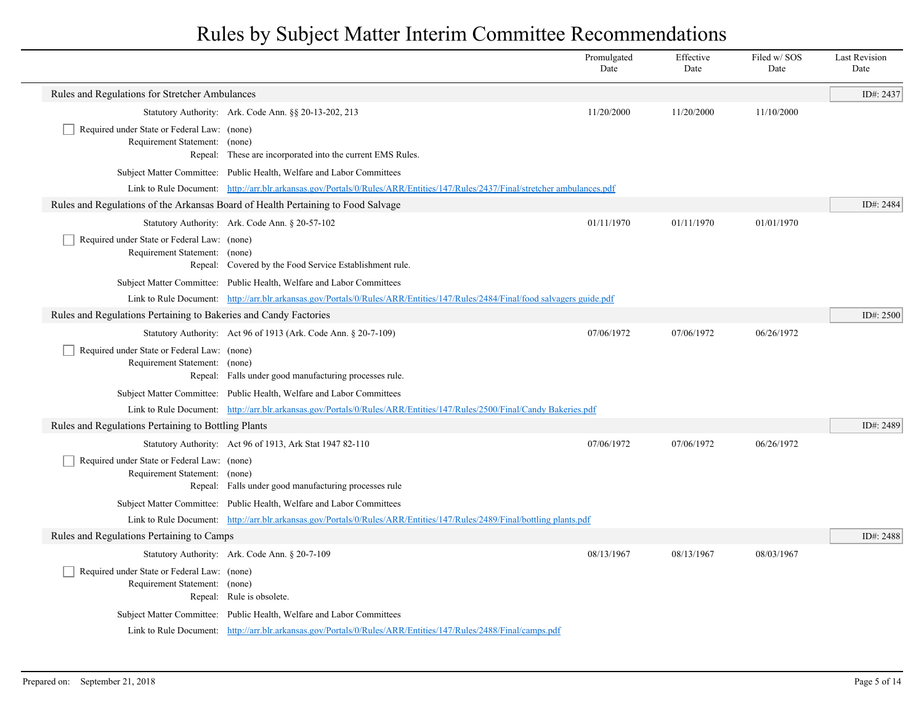|                                                                              |                                                                                                                               | Promulgated<br>Date | Effective<br>Date | Filed w/SOS<br>Date | <b>Last Revision</b><br>Date |
|------------------------------------------------------------------------------|-------------------------------------------------------------------------------------------------------------------------------|---------------------|-------------------|---------------------|------------------------------|
| Rules and Regulations for Stretcher Ambulances                               |                                                                                                                               |                     |                   |                     | ID#: 2437                    |
|                                                                              | Statutory Authority: Ark. Code Ann. §§ 20-13-202, 213                                                                         | 11/20/2000          | 11/20/2000        | 11/10/2000          |                              |
| Required under State or Federal Law: (none)                                  |                                                                                                                               |                     |                   |                     |                              |
| Requirement Statement: (none)                                                | Repeal: These are incorporated into the current EMS Rules.                                                                    |                     |                   |                     |                              |
|                                                                              | Subject Matter Committee: Public Health, Welfare and Labor Committees                                                         |                     |                   |                     |                              |
|                                                                              | Link to Rule Document: http://arr.blr.arkansas.gov/Portals/0/Rules/ARR/Entities/147/Rules/2437/Final/stretcher ambulances.pdf |                     |                   |                     |                              |
|                                                                              | Rules and Regulations of the Arkansas Board of Health Pertaining to Food Salvage                                              |                     |                   |                     | ID#: 2484                    |
|                                                                              | Statutory Authority: Ark. Code Ann. § 20-57-102                                                                               | 01/11/1970          | 01/11/1970        | 01/01/1970          |                              |
| Required under State or Federal Law: (none)                                  |                                                                                                                               |                     |                   |                     |                              |
| Requirement Statement: (none)                                                |                                                                                                                               |                     |                   |                     |                              |
|                                                                              | Repeal: Covered by the Food Service Establishment rule.                                                                       |                     |                   |                     |                              |
|                                                                              | Subject Matter Committee: Public Health, Welfare and Labor Committees                                                         |                     |                   |                     |                              |
|                                                                              | Link to Rule Document: http://arr.blr.arkansas.gov/Portals/0/Rules/ARR/Entities/147/Rules/2484/Final/food salvagers guide.pdf |                     |                   |                     |                              |
| Rules and Regulations Pertaining to Bakeries and Candy Factories             |                                                                                                                               |                     |                   |                     | ID#: 2500                    |
|                                                                              | Statutory Authority: Act 96 of 1913 (Ark. Code Ann. § 20-7-109)                                                               | 07/06/1972          | 07/06/1972        | 06/26/1972          |                              |
| Required under State or Federal Law: (none)                                  |                                                                                                                               |                     |                   |                     |                              |
| Requirement Statement: (none)                                                | Repeal: Falls under good manufacturing processes rule.                                                                        |                     |                   |                     |                              |
|                                                                              | Subject Matter Committee: Public Health, Welfare and Labor Committees                                                         |                     |                   |                     |                              |
|                                                                              | Link to Rule Document: http://arr.blr.arkansas.gov/Portals/0/Rules/ARR/Entities/147/Rules/2500/Final/Candy Bakeries.pdf       |                     |                   |                     |                              |
| Rules and Regulations Pertaining to Bottling Plants                          |                                                                                                                               |                     |                   |                     | ID#: 2489                    |
|                                                                              | Statutory Authority: Act 96 of 1913, Ark Stat 1947 82-110                                                                     | 07/06/1972          | 07/06/1972        | 06/26/1972          |                              |
| Required under State or Federal Law: (none)                                  |                                                                                                                               |                     |                   |                     |                              |
| Requirement Statement: (none)                                                |                                                                                                                               |                     |                   |                     |                              |
|                                                                              | Repeal: Falls under good manufacturing processes rule                                                                         |                     |                   |                     |                              |
|                                                                              | Subject Matter Committee: Public Health, Welfare and Labor Committees                                                         |                     |                   |                     |                              |
|                                                                              | Link to Rule Document: http://arr.blr.arkansas.gov/Portals/0/Rules/ARR/Entities/147/Rules/2489/Final/bottling plants.pdf      |                     |                   |                     |                              |
| Rules and Regulations Pertaining to Camps                                    |                                                                                                                               |                     |                   |                     | ID#: 2488                    |
|                                                                              | Statutory Authority: Ark. Code Ann. § 20-7-109                                                                                | 08/13/1967          | 08/13/1967        | 08/03/1967          |                              |
| Required under State or Federal Law: (none)<br>Requirement Statement: (none) |                                                                                                                               |                     |                   |                     |                              |
|                                                                              | Repeal: Rule is obsolete.                                                                                                     |                     |                   |                     |                              |
|                                                                              | Subject Matter Committee: Public Health, Welfare and Labor Committees                                                         |                     |                   |                     |                              |
|                                                                              | Link to Rule Document: http://arr.blr.arkansas.gov/Portals/0/Rules/ARR/Entities/147/Rules/2488/Final/camps.pdf                |                     |                   |                     |                              |
|                                                                              |                                                                                                                               |                     |                   |                     |                              |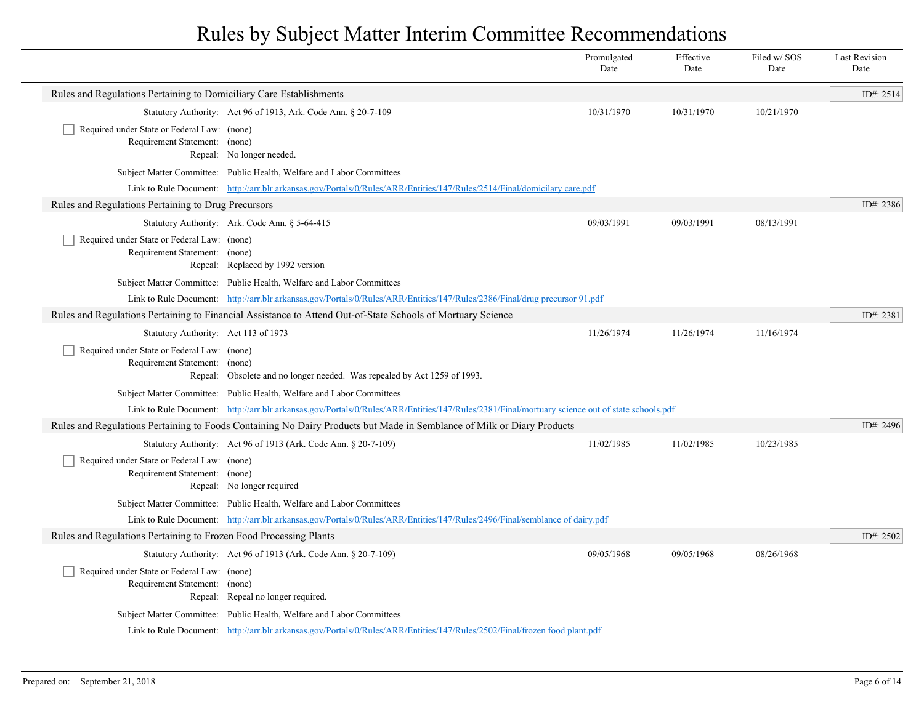|                                                                              |                                                                                                                                                | Promulgated<br>Date | Effective<br>Date | Filed w/SOS<br>Date | <b>Last Revision</b><br>Date |
|------------------------------------------------------------------------------|------------------------------------------------------------------------------------------------------------------------------------------------|---------------------|-------------------|---------------------|------------------------------|
| Rules and Regulations Pertaining to Domiciliary Care Establishments          |                                                                                                                                                |                     |                   |                     | ID#: 2514                    |
|                                                                              | Statutory Authority: Act 96 of 1913, Ark. Code Ann. § 20-7-109                                                                                 | 10/31/1970          | 10/31/1970        | 10/21/1970          |                              |
| Required under State or Federal Law: (none)<br>Requirement Statement: (none) | Repeal: No longer needed.                                                                                                                      |                     |                   |                     |                              |
|                                                                              | Subject Matter Committee: Public Health, Welfare and Labor Committees                                                                          |                     |                   |                     |                              |
|                                                                              | Link to Rule Document: http://arr.blr.arkansas.gov/Portals/0/Rules/ARR/Entities/147/Rules/2514/Final/domicilary care.pdf                       |                     |                   |                     |                              |
| Rules and Regulations Pertaining to Drug Precursors                          |                                                                                                                                                |                     |                   |                     | ID#: 2386                    |
|                                                                              | Statutory Authority: Ark. Code Ann. § 5-64-415                                                                                                 | 09/03/1991          | 09/03/1991        | 08/13/1991          |                              |
| Required under State or Federal Law: (none)<br>Requirement Statement: (none) | Repeal: Replaced by 1992 version                                                                                                               |                     |                   |                     |                              |
|                                                                              | Subject Matter Committee: Public Health, Welfare and Labor Committees                                                                          |                     |                   |                     |                              |
|                                                                              | Link to Rule Document: http://arr.blr.arkansas.gov/Portals/0/Rules/ARR/Entities/147/Rules/2386/Final/drug precursor 91.pdf                     |                     |                   |                     |                              |
|                                                                              | Rules and Regulations Pertaining to Financial Assistance to Attend Out-of-State Schools of Mortuary Science                                    |                     |                   |                     | ID#: 2381                    |
| Statutory Authority: Act 113 of 1973                                         |                                                                                                                                                | 11/26/1974          | 11/26/1974        | 11/16/1974          |                              |
| Required under State or Federal Law: (none)<br>Requirement Statement: (none) | Repeal: Obsolete and no longer needed. Was repealed by Act 1259 of 1993.                                                                       |                     |                   |                     |                              |
|                                                                              | Subject Matter Committee: Public Health, Welfare and Labor Committees                                                                          |                     |                   |                     |                              |
|                                                                              | Link to Rule Document: http://arr.blr.arkansas.gov/Portals/0/Rules/ARR/Entities/147/Rules/2381/Final/mortuary science out of state schools.pdf |                     |                   |                     |                              |
|                                                                              | Rules and Regulations Pertaining to Foods Containing No Dairy Products but Made in Semblance of Milk or Diary Products                         |                     |                   |                     | ID#: 2496                    |
|                                                                              | Statutory Authority: Act 96 of 1913 (Ark. Code Ann. § 20-7-109)                                                                                | 11/02/1985          | 11/02/1985        | 10/23/1985          |                              |
| Required under State or Federal Law: (none)<br>Requirement Statement: (none) | Repeal: No longer required                                                                                                                     |                     |                   |                     |                              |
|                                                                              | Subject Matter Committee: Public Health, Welfare and Labor Committees                                                                          |                     |                   |                     |                              |
|                                                                              | Link to Rule Document: http://arr.blr.arkansas.gov/Portals/0/Rules/ARR/Entities/147/Rules/2496/Final/semblance of dairy.pdf                    |                     |                   |                     |                              |
| Rules and Regulations Pertaining to Frozen Food Processing Plants            |                                                                                                                                                |                     |                   |                     | ID#: 2502                    |
|                                                                              | Statutory Authority: Act 96 of 1913 (Ark. Code Ann. § 20-7-109)                                                                                | 09/05/1968          | 09/05/1968        | 08/26/1968          |                              |
| Required under State or Federal Law: (none)<br>Requirement Statement: (none) | Repeal: Repeal no longer required.                                                                                                             |                     |                   |                     |                              |
|                                                                              | Subject Matter Committee: Public Health, Welfare and Labor Committees                                                                          |                     |                   |                     |                              |
|                                                                              | Link to Rule Document: http://arr.blr.arkansas.gov/Portals/0/Rules/ARR/Entities/147/Rules/2502/Final/frozen food plant.pdf                     |                     |                   |                     |                              |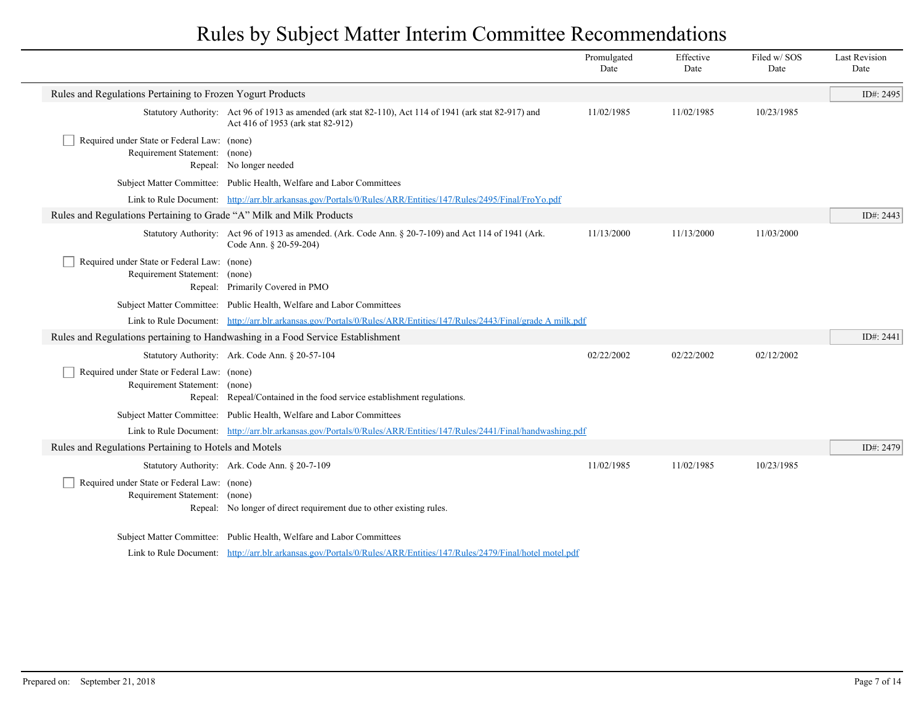|                                                                              |                                                                                                                                              | Promulgated<br>Date | Effective<br>Date | Filed w/SOS<br>Date | <b>Last Revision</b><br>Date |
|------------------------------------------------------------------------------|----------------------------------------------------------------------------------------------------------------------------------------------|---------------------|-------------------|---------------------|------------------------------|
| Rules and Regulations Pertaining to Frozen Yogurt Products                   |                                                                                                                                              |                     |                   |                     | ID#: 2495                    |
|                                                                              | Statutory Authority: Act 96 of 1913 as amended (ark stat 82-110), Act 114 of 1941 (ark stat 82-917) and<br>Act 416 of 1953 (ark stat 82-912) | 11/02/1985          | 11/02/1985        | 10/23/1985          |                              |
| Required under State or Federal Law: (none)<br>Requirement Statement: (none) | Repeal: No longer needed                                                                                                                     |                     |                   |                     |                              |
|                                                                              | Subject Matter Committee: Public Health, Welfare and Labor Committees                                                                        |                     |                   |                     |                              |
|                                                                              | Link to Rule Document: http://arr.blr.arkansas.gov/Portals/0/Rules/ARR/Entities/147/Rules/2495/Final/FroYo.pdf                               |                     |                   |                     |                              |
| Rules and Regulations Pertaining to Grade "A" Milk and Milk Products         |                                                                                                                                              |                     |                   |                     | ID#: 2443                    |
|                                                                              | Statutory Authority: Act 96 of 1913 as amended. (Ark. Code Ann. § 20-7-109) and Act 114 of 1941 (Ark.<br>Code Ann. § 20-59-204)              | 11/13/2000          | 11/13/2000        | 11/03/2000          |                              |
| Required under State or Federal Law: (none)<br>Requirement Statement: (none) | Repeal: Primarily Covered in PMO                                                                                                             |                     |                   |                     |                              |
|                                                                              | Subject Matter Committee: Public Health, Welfare and Labor Committees                                                                        |                     |                   |                     |                              |
|                                                                              | Link to Rule Document: http://arr.blr.arkansas.gov/Portals/0/Rules/ARR/Entities/147/Rules/2443/Final/grade A milk.pdf                        |                     |                   |                     |                              |
|                                                                              | Rules and Regulations pertaining to Handwashing in a Food Service Establishment                                                              |                     |                   |                     | ID#: $2441$                  |
|                                                                              | Statutory Authority: Ark. Code Ann. § 20-57-104                                                                                              | 02/22/2002          | 02/22/2002        | 02/12/2002          |                              |
| Required under State or Federal Law: (none)<br>Requirement Statement: (none) | Repeal: Repeal/Contained in the food service establishment regulations.                                                                      |                     |                   |                     |                              |
|                                                                              | Subject Matter Committee: Public Health, Welfare and Labor Committees                                                                        |                     |                   |                     |                              |
|                                                                              | Link to Rule Document: http://arr.blr.arkansas.gov/Portals/0/Rules/ARR/Entities/147/Rules/2441/Final/handwashing.pdf                         |                     |                   |                     |                              |
| Rules and Regulations Pertaining to Hotels and Motels                        |                                                                                                                                              |                     |                   |                     | ID#: 2479                    |
|                                                                              | Statutory Authority: Ark. Code Ann. § 20-7-109                                                                                               | 11/02/1985          | 11/02/1985        | 10/23/1985          |                              |
| Required under State or Federal Law: (none)<br>Requirement Statement: (none) | Repeal: No longer of direct requirement due to other existing rules.                                                                         |                     |                   |                     |                              |
|                                                                              | Subject Matter Committee: Public Health, Welfare and Labor Committees                                                                        |                     |                   |                     |                              |
|                                                                              | Link to Rule Document: http://arr.blr.arkansas.gov/Portals/0/Rules/ARR/Entities/147/Rules/2479/Final/hotel motel.pdf                         |                     |                   |                     |                              |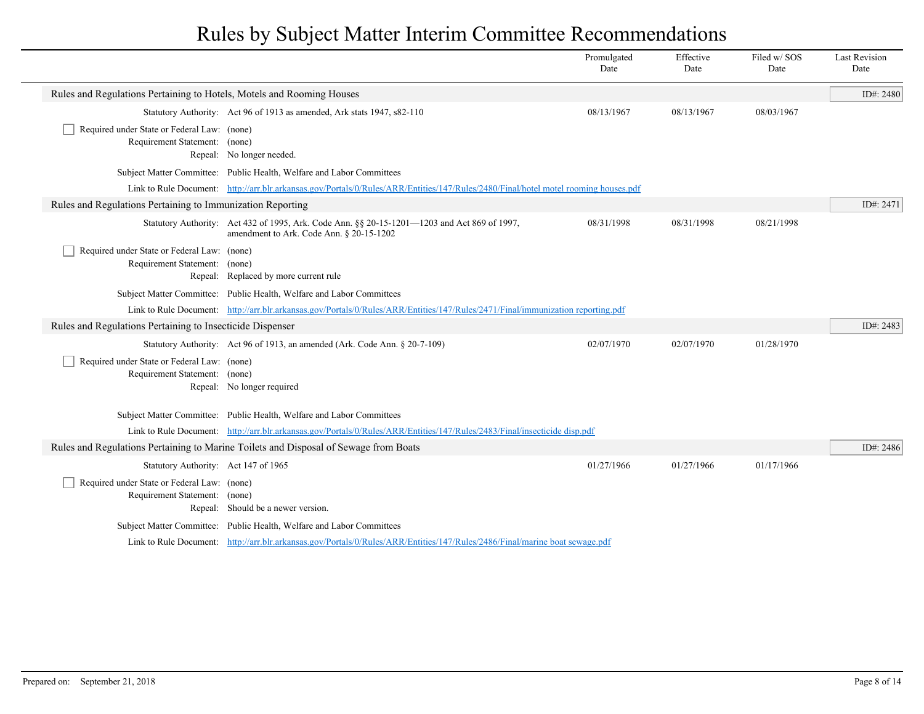|                                                                                  |                                                                                                                                          | Promulgated<br>Date | Effective<br>Date | Filed w/SOS<br>Date | <b>Last Revision</b><br>Date |
|----------------------------------------------------------------------------------|------------------------------------------------------------------------------------------------------------------------------------------|---------------------|-------------------|---------------------|------------------------------|
| Rules and Regulations Pertaining to Hotels, Motels and Rooming Houses            |                                                                                                                                          |                     |                   |                     | ID#: 2480                    |
|                                                                                  | Statutory Authority: Act 96 of 1913 as amended, Ark stats 1947, s82-110                                                                  | 08/13/1967          | 08/13/1967        | 08/03/1967          |                              |
| Required under State or Federal Law: (none)<br>Requirement Statement: (none)     | Repeal: No longer needed.                                                                                                                |                     |                   |                     |                              |
|                                                                                  | Subject Matter Committee: Public Health, Welfare and Labor Committees                                                                    |                     |                   |                     |                              |
|                                                                                  | Link to Rule Document: http://arr.blr.arkansas.gov/Portals/0/Rules/ARR/Entities/147/Rules/2480/Final/hotel motel rooming houses.pdf      |                     |                   |                     |                              |
| Rules and Regulations Pertaining to Immunization Reporting                       |                                                                                                                                          |                     |                   |                     | ID#: 2471                    |
|                                                                                  | Statutory Authority: Act 432 of 1995, Ark. Code Ann. §§ 20-15-1201—1203 and Act 869 of 1997,<br>amendment to Ark. Code Ann. § 20-15-1202 | 08/31/1998          | 08/31/1998        | 08/21/1998          |                              |
| Required under State or Federal Law: (none)<br>Requirement Statement:<br>Repeal: | (none)<br>Replaced by more current rule                                                                                                  |                     |                   |                     |                              |
|                                                                                  | Subject Matter Committee: Public Health, Welfare and Labor Committees                                                                    |                     |                   |                     |                              |
|                                                                                  | Link to Rule Document: http://arr.blr.arkansas.gov/Portals/0/Rules/ARR/Entities/147/Rules/2471/Final/immunization reporting.pdf          |                     |                   |                     |                              |
| Rules and Regulations Pertaining to Insecticide Dispenser                        |                                                                                                                                          |                     |                   |                     | ID#: 2483                    |
|                                                                                  | Statutory Authority: Act 96 of 1913, an amended (Ark. Code Ann. § 20-7-109)                                                              | 02/07/1970          | 02/07/1970        | 01/28/1970          |                              |
| Required under State or Federal Law: (none)<br>Requirement Statement: (none)     | Repeal: No longer required                                                                                                               |                     |                   |                     |                              |
|                                                                                  | Subject Matter Committee: Public Health, Welfare and Labor Committees                                                                    |                     |                   |                     |                              |
|                                                                                  | Link to Rule Document: http://arr.blr.arkansas.gov/Portals/0/Rules/ARR/Entities/147/Rules/2483/Final/insecticide disp.pdf                |                     |                   |                     |                              |
|                                                                                  | Rules and Regulations Pertaining to Marine Toilets and Disposal of Sewage from Boats                                                     |                     |                   |                     | ID#: 2486                    |
| Statutory Authority: Act 147 of 1965                                             |                                                                                                                                          | 01/27/1966          | 01/27/1966        | 01/17/1966          |                              |
| Required under State or Federal Law: (none)<br>Requirement Statement: (none)     | Repeal: Should be a newer version.                                                                                                       |                     |                   |                     |                              |
|                                                                                  | Subject Matter Committee: Public Health, Welfare and Labor Committees                                                                    |                     |                   |                     |                              |
|                                                                                  | Link to Rule Document: http://arr.blr.arkansas.gov/Portals/0/Rules/ARR/Entities/147/Rules/2486/Final/marine boat sewage.pdf              |                     |                   |                     |                              |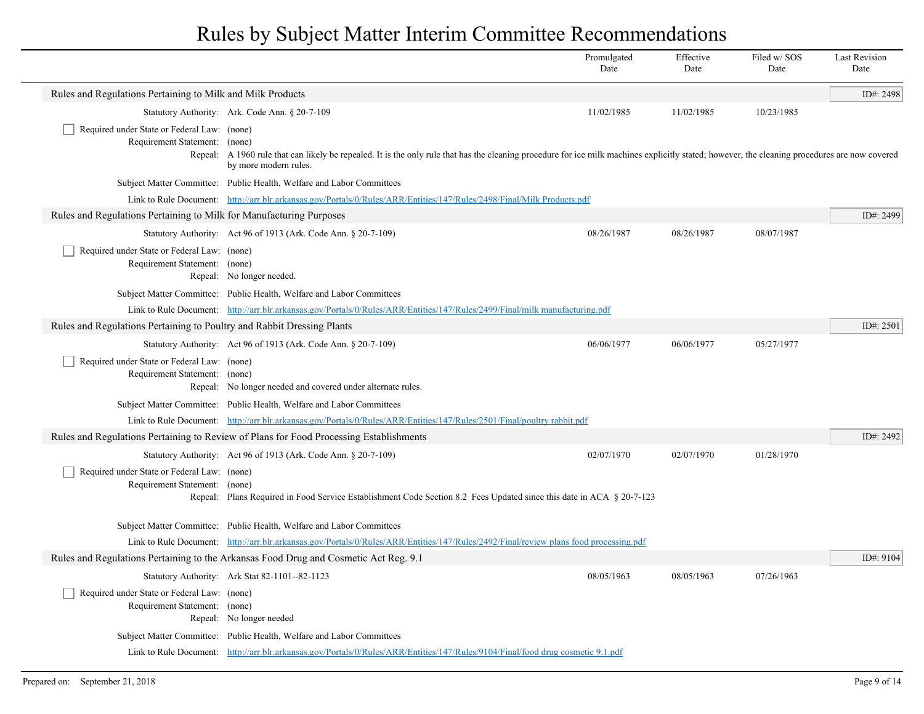|                                                                                  |                                                                                                                                                                                                                           | Promulgated<br>Date | Effective<br>Date | Filed w/ SOS<br>Date | <b>Last Revision</b><br>Date |
|----------------------------------------------------------------------------------|---------------------------------------------------------------------------------------------------------------------------------------------------------------------------------------------------------------------------|---------------------|-------------------|----------------------|------------------------------|
| Rules and Regulations Pertaining to Milk and Milk Products                       |                                                                                                                                                                                                                           |                     |                   |                      | ID#: 2498                    |
|                                                                                  | Statutory Authority: Ark. Code Ann. § 20-7-109                                                                                                                                                                            | 11/02/1985          | 11/02/1985        | 10/23/1985           |                              |
| Required under State or Federal Law: (none)<br>Requirement Statement:<br>Repeal: | (none)<br>A 1960 rule that can likely be repealed. It is the only rule that has the cleaning procedure for ice milk machines explicitly stated; however, the cleaning procedures are now covered<br>by more modern rules. |                     |                   |                      |                              |
|                                                                                  | Subject Matter Committee: Public Health, Welfare and Labor Committees                                                                                                                                                     |                     |                   |                      |                              |
|                                                                                  | Link to Rule Document: http://arr.blr.arkansas.gov/Portals/0/Rules/ARR/Entities/147/Rules/2498/Final/Milk Products.pdf                                                                                                    |                     |                   |                      |                              |
| Rules and Regulations Pertaining to Milk for Manufacturing Purposes              |                                                                                                                                                                                                                           |                     |                   |                      | ID#: 2499                    |
|                                                                                  | Statutory Authority: Act 96 of 1913 (Ark. Code Ann. § 20-7-109)                                                                                                                                                           | 08/26/1987          | 08/26/1987        | 08/07/1987           |                              |
| Required under State or Federal Law: (none)<br>Requirement Statement: (none)     | Repeal: No longer needed.                                                                                                                                                                                                 |                     |                   |                      |                              |
|                                                                                  | Subject Matter Committee: Public Health, Welfare and Labor Committees                                                                                                                                                     |                     |                   |                      |                              |
|                                                                                  | Link to Rule Document: http://arr.blr.arkansas.gov/Portals/0/Rules/ARR/Entities/147/Rules/2499/Final/milk manufacturing.pdf                                                                                               |                     |                   |                      |                              |
| Rules and Regulations Pertaining to Poultry and Rabbit Dressing Plants           |                                                                                                                                                                                                                           |                     |                   |                      | ID#: 2501                    |
|                                                                                  | Statutory Authority: Act 96 of 1913 (Ark. Code Ann. § 20-7-109)                                                                                                                                                           | 06/06/1977          | 06/06/1977        | 05/27/1977           |                              |
| Required under State or Federal Law: (none)<br>Requirement Statement:            | (none)<br>Repeal: No longer needed and covered under alternate rules.                                                                                                                                                     |                     |                   |                      |                              |
|                                                                                  | Subject Matter Committee: Public Health, Welfare and Labor Committees                                                                                                                                                     |                     |                   |                      |                              |
|                                                                                  | Link to Rule Document: http://arr.blr.arkansas.gov/Portals/0/Rules/ARR/Entities/147/Rules/2501/Final/poultry rabbit.pdf                                                                                                   |                     |                   |                      |                              |
|                                                                                  | Rules and Regulations Pertaining to Review of Plans for Food Processing Establishments                                                                                                                                    |                     |                   |                      | ID#: 2492                    |
|                                                                                  | Statutory Authority: Act 96 of 1913 (Ark. Code Ann. § 20-7-109)                                                                                                                                                           | 02/07/1970          | 02/07/1970        | 01/28/1970           |                              |
| Required under State or Federal Law: (none)<br>Requirement Statement:            | (none)<br>Repeal: Plans Required in Food Service Establishment Code Section 8.2 Fees Updated since this date in ACA § 20-7-123                                                                                            |                     |                   |                      |                              |
|                                                                                  | Subject Matter Committee: Public Health, Welfare and Labor Committees                                                                                                                                                     |                     |                   |                      |                              |
|                                                                                  | Link to Rule Document: http://arr.blr.arkansas.gov/Portals/0/Rules/ARR/Entities/147/Rules/2492/Final/review plans food processing.pdf                                                                                     |                     |                   |                      |                              |
|                                                                                  | Rules and Regulations Pertaining to the Arkansas Food Drug and Cosmetic Act Reg. 9.1                                                                                                                                      |                     |                   |                      | ID#: 9104                    |
|                                                                                  | Statutory Authority: Ark Stat 82-1101--82-1123                                                                                                                                                                            | 08/05/1963          | 08/05/1963        | 07/26/1963           |                              |
| Required under State or Federal Law: (none)<br>Requirement Statement:            | (none)<br>Repeal: No longer needed                                                                                                                                                                                        |                     |                   |                      |                              |
|                                                                                  | Subject Matter Committee: Public Health, Welfare and Labor Committees                                                                                                                                                     |                     |                   |                      |                              |
|                                                                                  | Link to Rule Document: http://arr.blr.arkansas.gov/Portals/0/Rules/ARR/Entities/147/Rules/9104/Final/food drug cosmetic 9.1.pdf                                                                                           |                     |                   |                      |                              |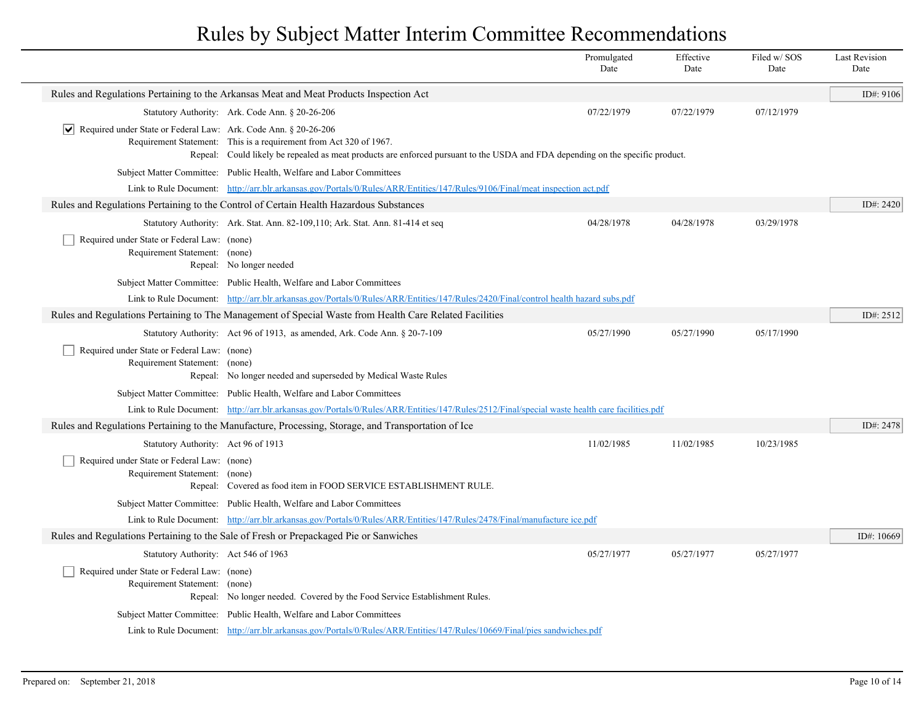|                                                                                |                                                                                                                                                                                                      | Promulgated<br>Date | Effective<br>Date | Filed w/SOS<br>Date | <b>Last Revision</b><br>Date |
|--------------------------------------------------------------------------------|------------------------------------------------------------------------------------------------------------------------------------------------------------------------------------------------------|---------------------|-------------------|---------------------|------------------------------|
|                                                                                | Rules and Regulations Pertaining to the Arkansas Meat and Meat Products Inspection Act                                                                                                               |                     |                   |                     | ID#: 9106                    |
|                                                                                | Statutory Authority: Ark. Code Ann. § 20-26-206                                                                                                                                                      | 07/22/1979          | 07/22/1979        | 07/12/1979          |                              |
| $ \mathbf{v} $ Required under State or Federal Law: Ark. Code Ann. § 20-26-206 | Requirement Statement: This is a requirement from Act 320 of 1967.<br>Repeal: Could likely be repealed as meat products are enforced pursuant to the USDA and FDA depending on the specific product. |                     |                   |                     |                              |
|                                                                                | Subject Matter Committee: Public Health, Welfare and Labor Committees                                                                                                                                |                     |                   |                     |                              |
|                                                                                | Link to Rule Document: http://arr.blr.arkansas.gov/Portals/0/Rules/ARR/Entities/147/Rules/9106/Final/meat inspection act.pdf                                                                         |                     |                   |                     |                              |
|                                                                                | Rules and Regulations Pertaining to the Control of Certain Health Hazardous Substances                                                                                                               |                     |                   |                     | ID#: 2420                    |
|                                                                                | Statutory Authority: Ark. Stat. Ann. 82-109,110; Ark. Stat. Ann. 81-414 et seq                                                                                                                       | 04/28/1978          | 04/28/1978        | 03/29/1978          |                              |
| Required under State or Federal Law: (none)<br>Requirement Statement: (none)   | Repeal: No longer needed                                                                                                                                                                             |                     |                   |                     |                              |
|                                                                                | Subject Matter Committee: Public Health, Welfare and Labor Committees                                                                                                                                |                     |                   |                     |                              |
|                                                                                | Link to Rule Document: http://arr.blr.arkansas.gov/Portals/0/Rules/ARR/Entities/147/Rules/2420/Final/control health hazard subs.pdf                                                                  |                     |                   |                     |                              |
|                                                                                | Rules and Regulations Pertaining to The Management of Special Waste from Health Care Related Facilities                                                                                              |                     |                   |                     | ID#: 2512                    |
|                                                                                | Statutory Authority: Act 96 of 1913, as amended, Ark. Code Ann. § 20-7-109                                                                                                                           | 05/27/1990          | 05/27/1990        | 05/17/1990          |                              |
| Required under State or Federal Law: (none)<br>Requirement Statement: (none)   | Repeal: No longer needed and superseded by Medical Waste Rules                                                                                                                                       |                     |                   |                     |                              |
|                                                                                | Subject Matter Committee: Public Health, Welfare and Labor Committees                                                                                                                                |                     |                   |                     |                              |
|                                                                                | Link to Rule Document: http://arr.blr.arkansas.gov/Portals/0/Rules/ARR/Entities/147/Rules/2512/Final/special waste health care facilities.pdf                                                        |                     |                   |                     |                              |
|                                                                                | Rules and Regulations Pertaining to the Manufacture, Processing, Storage, and Transportation of Ice                                                                                                  |                     |                   |                     | ID#: 2478                    |
| Statutory Authority: Act 96 of 1913                                            |                                                                                                                                                                                                      | 11/02/1985          | 11/02/1985        | 10/23/1985          |                              |
| Required under State or Federal Law: (none)<br>Requirement Statement: (none)   | Repeal: Covered as food item in FOOD SERVICE ESTABLISHMENT RULE.                                                                                                                                     |                     |                   |                     |                              |
|                                                                                | Subject Matter Committee: Public Health, Welfare and Labor Committees                                                                                                                                |                     |                   |                     |                              |
|                                                                                | Link to Rule Document: http://arr.blr.arkansas.gov/Portals/0/Rules/ARR/Entities/147/Rules/2478/Final/manufacture ice.pdf                                                                             |                     |                   |                     |                              |
|                                                                                | Rules and Regulations Pertaining to the Sale of Fresh or Prepackaged Pie or Sanwiches                                                                                                                |                     |                   |                     | ID#: 10669                   |
| Statutory Authority: Act 546 of 1963                                           |                                                                                                                                                                                                      | 05/27/1977          | 05/27/1977        | 05/27/1977          |                              |
| Required under State or Federal Law: (none)<br>Requirement Statement: (none)   | Repeal: No longer needed. Covered by the Food Service Establishment Rules.                                                                                                                           |                     |                   |                     |                              |
|                                                                                | Subject Matter Committee: Public Health, Welfare and Labor Committees                                                                                                                                |                     |                   |                     |                              |
|                                                                                | Link to Rule Document: http://arr.blr.arkansas.gov/Portals/0/Rules/ARR/Entities/147/Rules/10669/Final/pies sandwiches.pdf                                                                            |                     |                   |                     |                              |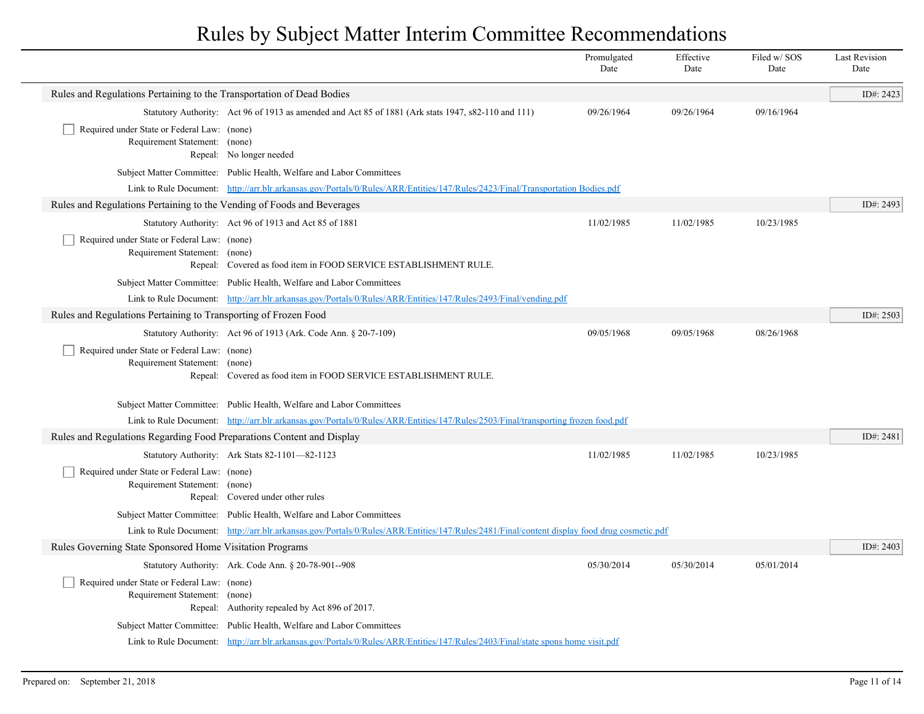|                                                                              |                                                                                                                                             | Promulgated<br>Date | Effective<br>Date | Filed w/SOS<br>Date | <b>Last Revision</b><br>Date |
|------------------------------------------------------------------------------|---------------------------------------------------------------------------------------------------------------------------------------------|---------------------|-------------------|---------------------|------------------------------|
| Rules and Regulations Pertaining to the Transportation of Dead Bodies        |                                                                                                                                             |                     |                   |                     | ID#: 2423                    |
|                                                                              | Statutory Authority: Act 96 of 1913 as amended and Act 85 of 1881 (Ark stats 1947, s82-110 and 111)                                         | 09/26/1964          | 09/26/1964        | 09/16/1964          |                              |
| Required under State or Federal Law: (none)<br>Requirement Statement: (none) | Repeal: No longer needed                                                                                                                    |                     |                   |                     |                              |
|                                                                              | Subject Matter Committee: Public Health, Welfare and Labor Committees                                                                       |                     |                   |                     |                              |
|                                                                              | Link to Rule Document: http://arr.blr.arkansas.gov/Portals/0/Rules/ARR/Entities/147/Rules/2423/Final/Transportation Bodies.pdf              |                     |                   |                     |                              |
| Rules and Regulations Pertaining to the Vending of Foods and Beverages       |                                                                                                                                             |                     |                   |                     | ID#: 2493                    |
|                                                                              | Statutory Authority: Act 96 of 1913 and Act 85 of 1881                                                                                      | 11/02/1985          | 11/02/1985        | 10/23/1985          |                              |
| Required under State or Federal Law: (none)<br>Requirement Statement: (none) | Repeal: Covered as food item in FOOD SERVICE ESTABLISHMENT RULE.                                                                            |                     |                   |                     |                              |
|                                                                              | Subject Matter Committee: Public Health, Welfare and Labor Committees                                                                       |                     |                   |                     |                              |
|                                                                              | Link to Rule Document: http://arr.blr.arkansas.gov/Portals/0/Rules/ARR/Entities/147/Rules/2493/Final/vending.pdf                            |                     |                   |                     |                              |
| Rules and Regulations Pertaining to Transporting of Frozen Food              |                                                                                                                                             |                     |                   |                     | ID#: $2503$                  |
|                                                                              | Statutory Authority: Act 96 of 1913 (Ark. Code Ann. § 20-7-109)                                                                             | 09/05/1968          | 09/05/1968        | 08/26/1968          |                              |
| Required under State or Federal Law: (none)<br>Requirement Statement: (none) | Repeal: Covered as food item in FOOD SERVICE ESTABLISHMENT RULE.                                                                            |                     |                   |                     |                              |
|                                                                              | Subject Matter Committee: Public Health, Welfare and Labor Committees                                                                       |                     |                   |                     |                              |
|                                                                              | Link to Rule Document: http://arr.blr.arkansas.gov/Portals/0/Rules/ARR/Entities/147/Rules/2503/Final/transporting frozen food.pdf           |                     |                   |                     |                              |
| Rules and Regulations Regarding Food Preparations Content and Display        |                                                                                                                                             |                     |                   |                     | ID#: 2481                    |
|                                                                              | Statutory Authority: Ark Stats 82-1101-82-1123                                                                                              | 11/02/1985          | 11/02/1985        | 10/23/1985          |                              |
| Required under State or Federal Law: (none)<br>Requirement Statement: (none) | Repeal: Covered under other rules                                                                                                           |                     |                   |                     |                              |
|                                                                              | Subject Matter Committee: Public Health, Welfare and Labor Committees                                                                       |                     |                   |                     |                              |
|                                                                              | Link to Rule Document: http://arr.blr.arkansas.gov/Portals/0/Rules/ARR/Entities/147/Rules/2481/Final/content display food drug cosmetic.pdf |                     |                   |                     |                              |
| Rules Governing State Sponsored Home Visitation Programs                     |                                                                                                                                             |                     |                   |                     | ID#: 2403                    |
|                                                                              | Statutory Authority: Ark. Code Ann. § 20-78-901--908                                                                                        | 05/30/2014          | 05/30/2014        | 05/01/2014          |                              |
| Required under State or Federal Law: (none)<br>Requirement Statement: (none) | Repeal: Authority repealed by Act 896 of 2017.                                                                                              |                     |                   |                     |                              |
|                                                                              | Subject Matter Committee: Public Health, Welfare and Labor Committees                                                                       |                     |                   |                     |                              |
|                                                                              | Link to Rule Document: http://arr.blr.arkansas.gov/Portals/0/Rules/ARR/Entities/147/Rules/2403/Final/state spons home visit.pdf             |                     |                   |                     |                              |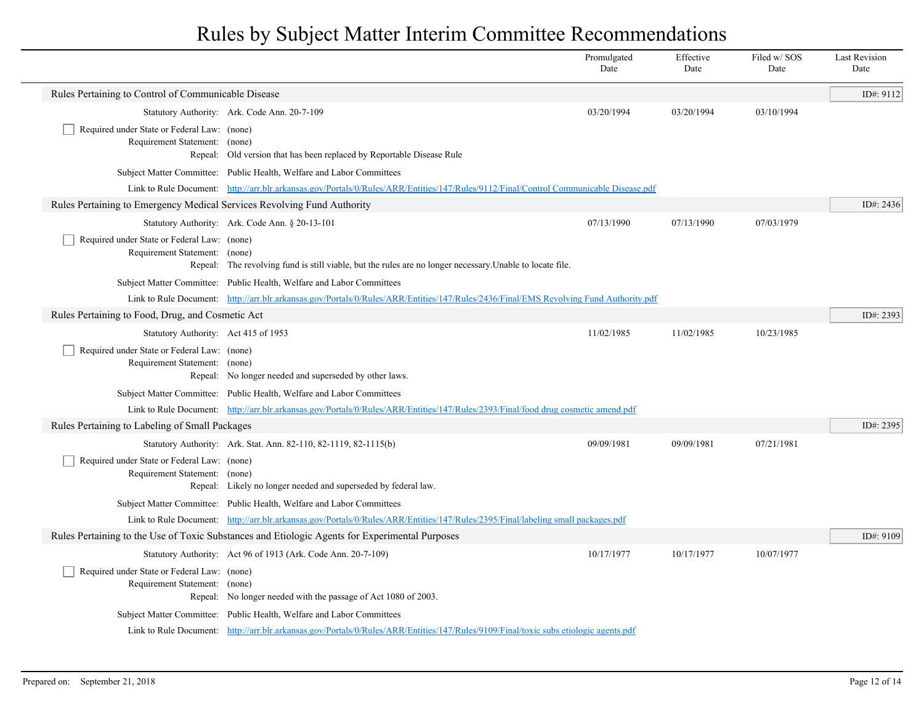|                                                                              |                                                                                                                                                                                                               | Promulgated<br>Date | Effective<br>Date | Filed w/SOS<br>Date | <b>Last Revision</b><br>Date |
|------------------------------------------------------------------------------|---------------------------------------------------------------------------------------------------------------------------------------------------------------------------------------------------------------|---------------------|-------------------|---------------------|------------------------------|
| Rules Pertaining to Control of Communicable Disease                          |                                                                                                                                                                                                               |                     |                   |                     | ID#: 9112                    |
|                                                                              | Statutory Authority: Ark. Code Ann. 20-7-109                                                                                                                                                                  | 03/20/1994          | 03/20/1994        | 03/10/1994          |                              |
| Required under State or Federal Law: (none)                                  |                                                                                                                                                                                                               |                     |                   |                     |                              |
| Requirement Statement: (none)                                                | Repeal: Old version that has been replaced by Reportable Disease Rule                                                                                                                                         |                     |                   |                     |                              |
|                                                                              | Subject Matter Committee: Public Health, Welfare and Labor Committees                                                                                                                                         |                     |                   |                     |                              |
|                                                                              | Link to Rule Document: http://arr.blr.arkansas.gov/Portals/0/Rules/ARR/Entities/147/Rules/9112/Final/Control Communicable Disease.pdf                                                                         |                     |                   |                     |                              |
| Rules Pertaining to Emergency Medical Services Revolving Fund Authority      |                                                                                                                                                                                                               |                     |                   |                     | ID#: 2436                    |
|                                                                              | Statutory Authority: Ark. Code Ann. § 20-13-101                                                                                                                                                               | 07/13/1990          | 07/13/1990        | 07/03/1979          |                              |
| Required under State or Federal Law: (none)                                  |                                                                                                                                                                                                               |                     |                   |                     |                              |
| Requirement Statement: (none)                                                |                                                                                                                                                                                                               |                     |                   |                     |                              |
|                                                                              | Repeal: The revolving fund is still viable, but the rules are no longer necessary. Unable to locate file.                                                                                                     |                     |                   |                     |                              |
|                                                                              | Subject Matter Committee: Public Health, Welfare and Labor Committees                                                                                                                                         |                     |                   |                     |                              |
| Rules Pertaining to Food, Drug, and Cosmetic Act                             | Link to Rule Document: http://arr.blr.arkansas.gov/Portals/0/Rules/ARR/Entities/147/Rules/2436/Final/EMS Revolving Fund Authority.pdf                                                                         |                     |                   |                     | ID#: 2393                    |
| Statutory Authority: Act 415 of 1953                                         |                                                                                                                                                                                                               | 11/02/1985          | 11/02/1985        | 10/23/1985          |                              |
| Required under State or Federal Law: (none)                                  |                                                                                                                                                                                                               |                     |                   |                     |                              |
| Requirement Statement: (none)                                                |                                                                                                                                                                                                               |                     |                   |                     |                              |
|                                                                              | Repeal: No longer needed and superseded by other laws.                                                                                                                                                        |                     |                   |                     |                              |
|                                                                              | Subject Matter Committee: Public Health, Welfare and Labor Committees                                                                                                                                         |                     |                   |                     |                              |
|                                                                              | Link to Rule Document: http://arr.blr.arkansas.gov/Portals/0/Rules/ARR/Entities/147/Rules/2393/Final/food drug cosmetic amend.pdf                                                                             |                     |                   |                     |                              |
| Rules Pertaining to Labeling of Small Packages                               |                                                                                                                                                                                                               |                     |                   |                     | ID#: 2395                    |
|                                                                              | Statutory Authority: Ark. Stat. Ann. 82-110, 82-1119, 82-1115(b)                                                                                                                                              | 09/09/1981          | 09/09/1981        | 07/21/1981          |                              |
| Required under State or Federal Law: (none)<br>Requirement Statement: (none) |                                                                                                                                                                                                               |                     |                   |                     |                              |
|                                                                              | Repeal: Likely no longer needed and superseded by federal law.                                                                                                                                                |                     |                   |                     |                              |
|                                                                              | Subject Matter Committee: Public Health, Welfare and Labor Committees                                                                                                                                         |                     |                   |                     |                              |
|                                                                              | Link to Rule Document: http://arr.blr.arkansas.gov/Portals/0/Rules/ARR/Entities/147/Rules/2395/Final/labeling small packages.pdf                                                                              |                     |                   |                     |                              |
|                                                                              | Rules Pertaining to the Use of Toxic Substances and Etiologic Agents for Experimental Purposes                                                                                                                |                     |                   |                     | ID#: 9109                    |
|                                                                              | Statutory Authority: Act 96 of 1913 (Ark. Code Ann. 20-7-109)                                                                                                                                                 | 10/17/1977          | 10/17/1977        | 10/07/1977          |                              |
| Required under State or Federal Law: (none)                                  |                                                                                                                                                                                                               |                     |                   |                     |                              |
| Requirement Statement: (none)                                                |                                                                                                                                                                                                               |                     |                   |                     |                              |
|                                                                              | Repeal: No longer needed with the passage of Act 1080 of 2003.                                                                                                                                                |                     |                   |                     |                              |
|                                                                              | Subject Matter Committee: Public Health, Welfare and Labor Committees<br>Link to Rule Document: http://arr.blr.arkansas.gov/Portals/0/Rules/ARR/Entities/147/Rules/9109/Final/toxic subs etiologic agents.pdf |                     |                   |                     |                              |
|                                                                              |                                                                                                                                                                                                               |                     |                   |                     |                              |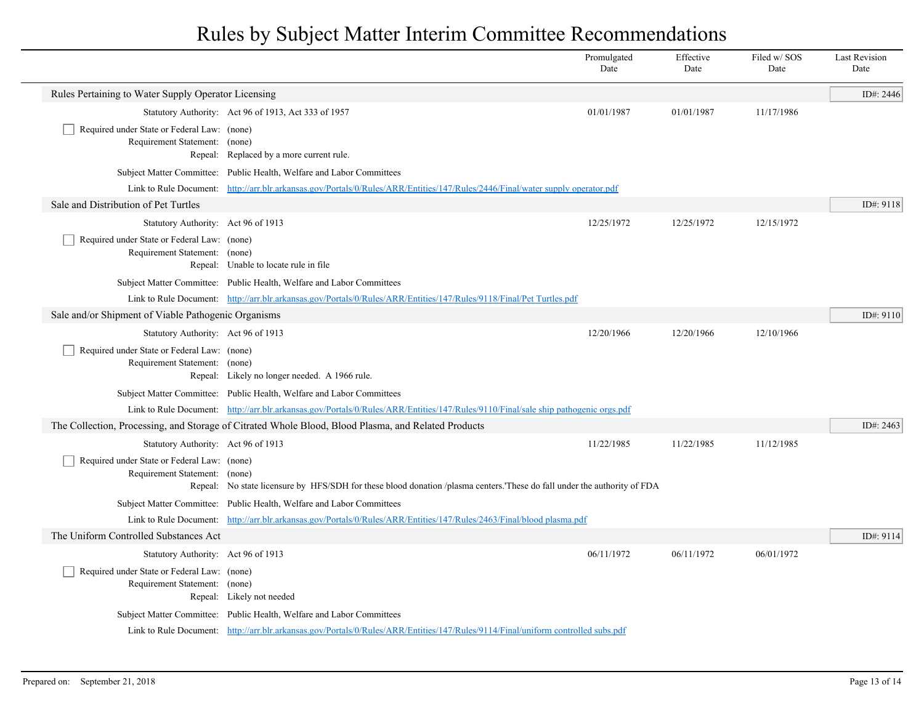|                                                                              |                                                                                                                                    | Promulgated<br>Date | Effective<br>Date | Filed w/ SOS<br>Date | <b>Last Revision</b><br>Date |  |  |
|------------------------------------------------------------------------------|------------------------------------------------------------------------------------------------------------------------------------|---------------------|-------------------|----------------------|------------------------------|--|--|
| Rules Pertaining to Water Supply Operator Licensing                          |                                                                                                                                    |                     |                   |                      | ID#: 2446                    |  |  |
|                                                                              | Statutory Authority: Act 96 of 1913, Act 333 of 1957                                                                               | 01/01/1987          | 01/01/1987        | 11/17/1986           |                              |  |  |
| Required under State or Federal Law: (none)<br>Requirement Statement: (none) | Repeal: Replaced by a more current rule.                                                                                           |                     |                   |                      |                              |  |  |
|                                                                              | Subject Matter Committee: Public Health, Welfare and Labor Committees                                                              |                     |                   |                      |                              |  |  |
|                                                                              | Link to Rule Document: http://arr.blr.arkansas.gov/Portals/0/Rules/ARR/Entities/147/Rules/2446/Final/water supply operator.pdf     |                     |                   |                      |                              |  |  |
| Sale and Distribution of Pet Turtles                                         |                                                                                                                                    |                     |                   |                      | ID#: 9118                    |  |  |
| Statutory Authority: Act 96 of 1913                                          |                                                                                                                                    | 12/25/1972          | 12/25/1972        | 12/15/1972           |                              |  |  |
| Required under State or Federal Law: (none)<br>Requirement Statement: (none) | Repeal: Unable to locate rule in file                                                                                              |                     |                   |                      |                              |  |  |
|                                                                              | Subject Matter Committee: Public Health, Welfare and Labor Committees                                                              |                     |                   |                      |                              |  |  |
|                                                                              | Link to Rule Document: http://arr.blr.arkansas.gov/Portals/0/Rules/ARR/Entities/147/Rules/9118/Final/Pet Turtles.pdf               |                     |                   |                      |                              |  |  |
| Sale and/or Shipment of Viable Pathogenic Organisms                          |                                                                                                                                    |                     |                   |                      | ID#: 9110                    |  |  |
| Statutory Authority: Act 96 of 1913                                          |                                                                                                                                    | 12/20/1966          | 12/20/1966        | 12/10/1966           |                              |  |  |
| Required under State or Federal Law: (none)<br>Requirement Statement: (none) | Repeal: Likely no longer needed. A 1966 rule.                                                                                      |                     |                   |                      |                              |  |  |
|                                                                              | Subject Matter Committee: Public Health, Welfare and Labor Committees                                                              |                     |                   |                      |                              |  |  |
|                                                                              | Link to Rule Document: http://arr.blr.arkansas.gov/Portals/0/Rules/ARR/Entities/147/Rules/9110/Final/sale ship pathogenic orgs.pdf |                     |                   |                      |                              |  |  |
|                                                                              | The Collection, Processing, and Storage of Citrated Whole Blood, Blood Plasma, and Related Products                                |                     |                   |                      | ID#: 2463                    |  |  |
| Statutory Authority: Act 96 of 1913                                          |                                                                                                                                    | 11/22/1985          | 11/22/1985        | 11/12/1985           |                              |  |  |
| Required under State or Federal Law: (none)<br>Requirement Statement: (none) | Repeal: No state licensure by HFS/SDH for these blood donation /plasma centers. These do fall under the authority of FDA           |                     |                   |                      |                              |  |  |
|                                                                              | Subject Matter Committee: Public Health, Welfare and Labor Committees                                                              |                     |                   |                      |                              |  |  |
|                                                                              | Link to Rule Document: http://arr.blr.arkansas.gov/Portals/0/Rules/ARR/Entities/147/Rules/2463/Final/blood plasma.pdf              |                     |                   |                      |                              |  |  |
| The Uniform Controlled Substances Act                                        |                                                                                                                                    |                     |                   |                      | ID#: 9114                    |  |  |
| Statutory Authority: Act 96 of 1913                                          |                                                                                                                                    | 06/11/1972          | 06/11/1972        | 06/01/1972           |                              |  |  |
| Required under State or Federal Law: (none)<br>Requirement Statement: (none) | Repeal: Likely not needed                                                                                                          |                     |                   |                      |                              |  |  |
|                                                                              | Subject Matter Committee: Public Health, Welfare and Labor Committees                                                              |                     |                   |                      |                              |  |  |
|                                                                              | Link to Rule Document: http://arr.blr.arkansas.gov/Portals/0/Rules/ARR/Entities/147/Rules/9114/Final/uniform controlled subs.pdf   |                     |                   |                      |                              |  |  |

 $\overline{\phantom{a}}$